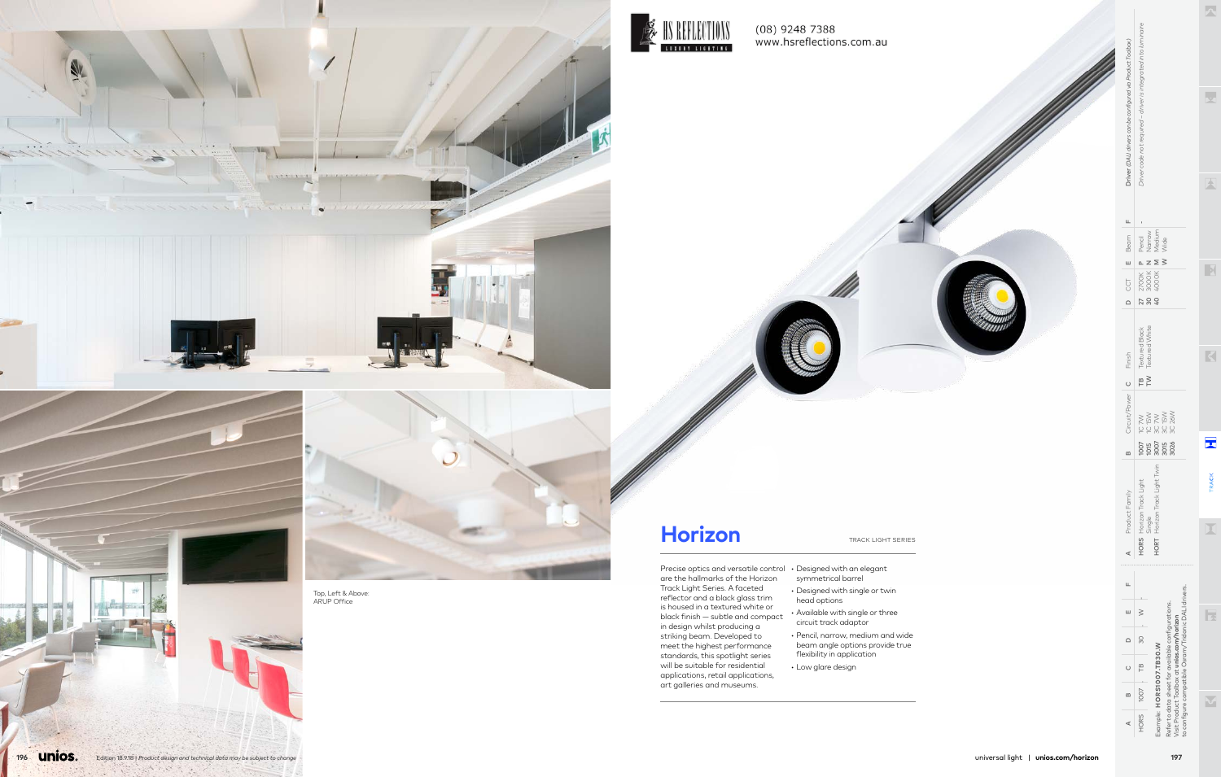Precise optics and versatile control • Designed with an elegant are the hallmarks of the Horizon Track Light Series. A faceted reflector and a black glass trim is housed in a textured white or black finish — subtle and compact in design whilst producing a striking beam. Developed to meet the highest performance standards, this spotlight series will be suitable for residential applications, retail applications, art galleries and museums.

- symmetrical barrel • Designed with single or twin head options
- Available with single or three circuit track adaptor
- Pencil, narrow, medium and wide beam angle options provide true flexibility in application
- Low glare design



**196 <u>Unios.</u>** 

 $\mathcal{F}_\mathbf{z} \rightarrow \mathcal{F}_\mathbf{z}$ 





# **Horizon** TRACK LIGHT SERIES



 $\prec$